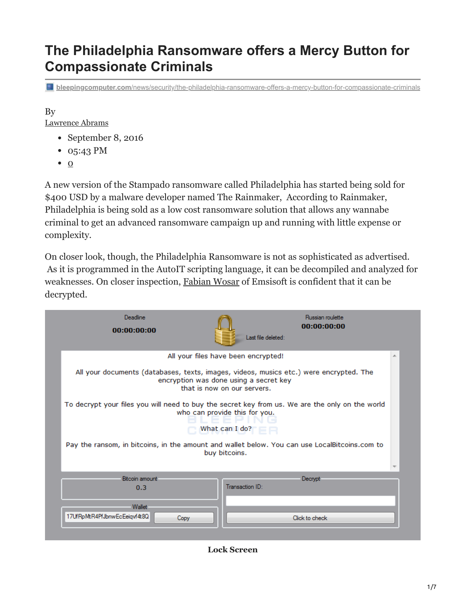# **The Philadelphia Ransomware offers a Mercy Button for Compassionate Criminals**

**bleepingcomputer.com**[/news/security/the-philadelphia-ransomware-offers-a-mercy-button-for-compassionate-criminals](https://www.bleepingcomputer.com/news/security/the-philadelphia-ransomware-offers-a-mercy-button-for-compassionate-criminals/)

## By

[Lawrence Abrams](https://www.bleepingcomputer.com/author/lawrence-abrams/)

- September 8, 2016
- 05:43 PM
- $\bullet$  [0](#page-6-0)

A new version of the Stampado ransomware called Philadelphia has started being sold for \$400 USD by a malware developer named The Rainmaker, According to Rainmaker, Philadelphia is being sold as a low cost ransomware solution that allows any wannabe criminal to get an advanced ransomware campaign up and running with little expense or complexity.

On closer look, though, the Philadelphia Ransomware is not as sophisticated as advertised. As it is programmed in the AutoIT scripting language, it can be decompiled and analyzed for weaknesses. On closer inspection, [Fabian Wosar](https://twitter.com/fwosar) of Emsisoft is confident that it can be decrypted.



#### **Lock Screen**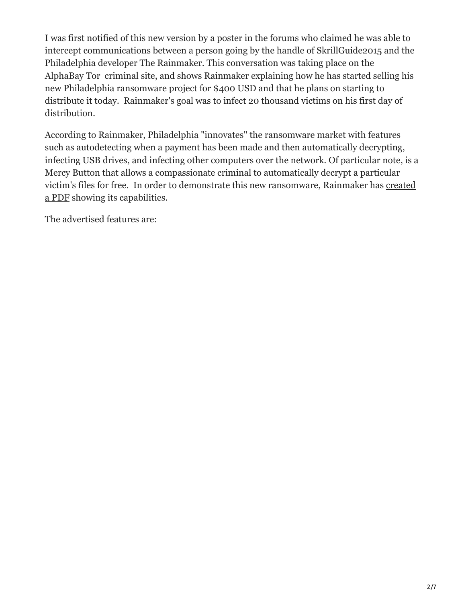I was first notified of this new version by a [poster in the forums](https://www.bleepingcomputer.com/forums/t/626035/philapdelphia-new-ransomware-from-developer-of-stampado/) who claimed he was able to intercept communications between a person going by the handle of SkrillGuide2015 and the Philadelphia developer The Rainmaker. This conversation was taking place on the AlphaBay Tor criminal site, and shows Rainmaker explaining how he has started selling his new Philadelphia ransomware project for \$400 USD and that he plans on starting to distribute it today. Rainmaker's goal was to infect 20 thousand victims on his first day of distribution.

According to Rainmaker, Philadelphia "innovates" the ransomware market with features such as autodetecting when a payment has been made and then automatically decrypting, infecting USB drives, and infecting other computers over the network. Of particular note, is a Mercy Button that allows a compassionate criminal to automatically decrypt a particular [victim's files for free. In order to demonstrate this new ransomware, Rainmaker has created](http://www.docdroid.net/vJV82cC/philadelphia-prints.pdf.html) a PDF showing its capabilities.

The advertised features are: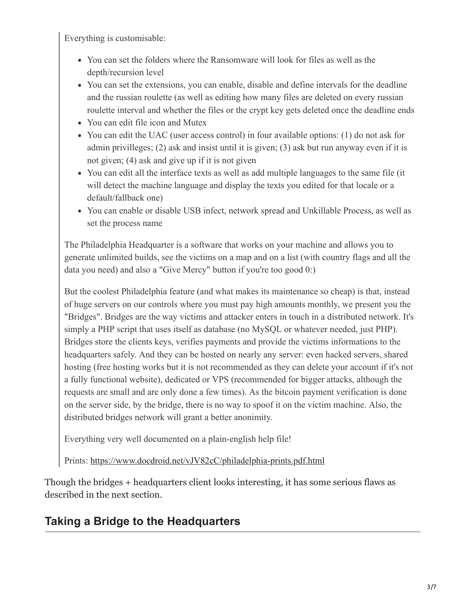Everything is customisable:

- You can set the folders where the Ransomware will look for files as well as the depth/recursion level
- You can set the extensions, you can enable, disable and define intervals for the deadline and the russian roulette (as well as editing how many files are deleted on every russian roulette interval and whether the files or the crypt key gets deleted once the deadline ends
- You can edit file icon and Mutex
- You can edit the UAC (user access control) in four available options: (1) do not ask for admin privilleges; (2) ask and insist until it is given; (3) ask but run anyway even if it is not given; (4) ask and give up if it is not given
- You can edit all the interface texts as well as add multiple languages to the same file (it will detect the machine language and display the texts you edited for that locale or a default/fallback one)
- You can enable or disable USB infect, network spread and Unkillable Process, as well as set the process name

The Philadelphia Headquarter is a software that works on your machine and allows you to generate unlimited builds, see the victims on a map and on a list (with country flags and all the data you need) and also a "Give Mercy" button if you're too good 0:)

But the coolest Philadelphia feature (and what makes its maintenance so cheap) is that, instead of huge servers on our controls where you must pay high amounts monthly, we present you the "Bridges". Bridges are the way victims and attacker enters in touch in a distributed network. It's simply a PHP script that uses itself as database (no MySQL or whatever needed, just PHP). Bridges store the clients keys, verifies payments and provide the victims informations to the headquarters safely. And they can be hosted on nearly any server: even hacked servers, shared hosting (free hosting works but it is not recommended as they can delete your account if it's not a fully functional website), dedicated or VPS (recommended for bigger attacks, although the requests are small and are only done a few times). As the bitcoin payment verification is done on the server side, by the bridge, there is no way to spoof it on the victim machine. Also, the distributed bridges network will grant a better anonimity.

Everything very well documented on a plain-english help file!

Prints:<https://www.docdroid.net/vJV82cC/philadelphia-prints.pdf.html>

Though the bridges + headquarters client looks interesting, it has some serious flaws as described in the next section.

# **Taking a Bridge to the Headquarters**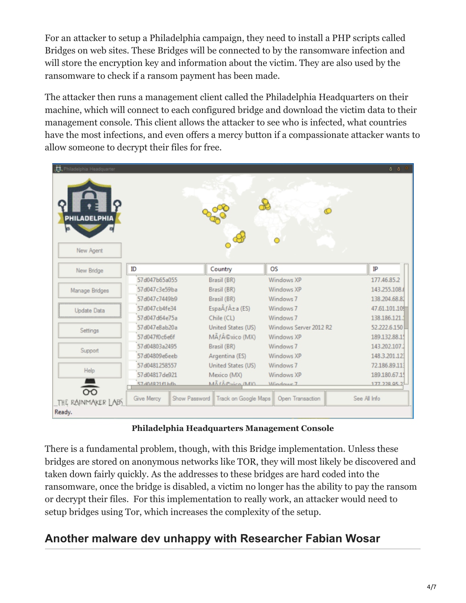For an attacker to setup a Philadelphia campaign, they need to install a PHP scripts called Bridges on web sites. These Bridges will be connected to by the ransomware infection and will store the encryption key and information about the victim. They are also used by the ransomware to check if a ransom payment has been made.

The attacker then runs a management client called the Philadelphia Headquarters on their machine, which will connect to each configured bridge and download the victim data to their management console. This client allows the attacker to see who is infected, what countries have the most infections, and even offers a mercy button if a compassionate attacker wants to allow someone to decrypt their files for free.

| Philadelphia Headquarter         |               |               |                                     |                                | ô ô           |
|----------------------------------|---------------|---------------|-------------------------------------|--------------------------------|---------------|
| <b>PHILADELPHIA</b><br>New Agent |               |               |                                     |                                |               |
| New Bridge                       | ID            |               | Country                             | <b>OS</b>                      | IP            |
|                                  | 57d047b65a055 |               | Brasil (BR)                         | Windows XP                     | 177.46.85.2   |
| Manage Bridges                   | 57d047c3e59ba |               | Brasil (BR)                         | Windows XP                     | 143.255.108.0 |
|                                  | 57d047c7449b9 |               | Brasil (BR)                         | Windows <sub>7</sub>           | 138.204.68.81 |
| <b>Update Data</b>               | 57d047cb4fe34 |               | Espa $\tilde{A}f\hat{A} \pm a$ (ES) | Windows <sub>7</sub>           | 47.61.101.109 |
|                                  | 57d047d64e75a |               | Chile (CL)                          | Windows <sub>7</sub>           | 138.186.121.1 |
| Settings                         | 57d047e8ab20a |               | United States (US)                  | Windows Server 2012 R2         | 52.222.6.150  |
|                                  | 57d047f0c6e6f |               | México (MX)                         | Windows XP                     | 189.132.88.15 |
|                                  | 57d04803a2495 |               | Brasil (BR)                         | Windows <sub>7</sub>           | 143.202.107.2 |
| Support                          | 57d04809e6eeb |               | Argentina (ES)                      | Windows XP                     | 148.3.201.123 |
|                                  | 57d0481258557 |               | United States (US)                  | Windows <sub>7</sub>           | 72.186.89.113 |
| Help                             | 57d04817de921 |               | Mexico (MX)                         | Windows XP                     | 189.180.67.1  |
|                                  | 57d04821f1bfb |               | MÃ FÂ@vico (MY)                     | <i><u><b>Mindows</b></u></i> 7 | 177 228 05 2  |
| $\overline{5}$                   |               |               |                                     |                                |               |
| THE RAINMAKER LABS               | Give Mercy    | Show Password | Track on Google Maps                | Open Transaction               | See All Info  |
| Ready.                           |               |               |                                     |                                |               |

**Philadelphia Headquarters Management Console**

There is a fundamental problem, though, with this Bridge implementation. Unless these bridges are stored on anonymous networks like TOR, they will most likely be discovered and taken down fairly quickly. As the addresses to these bridges are hard coded into the ransomware, once the bridge is disabled, a victim no longer has the ability to pay the ransom or decrypt their files. For this implementation to really work, an attacker would need to setup bridges using Tor, which increases the complexity of the setup.

# **Another malware dev unhappy with Researcher Fabian Wosar**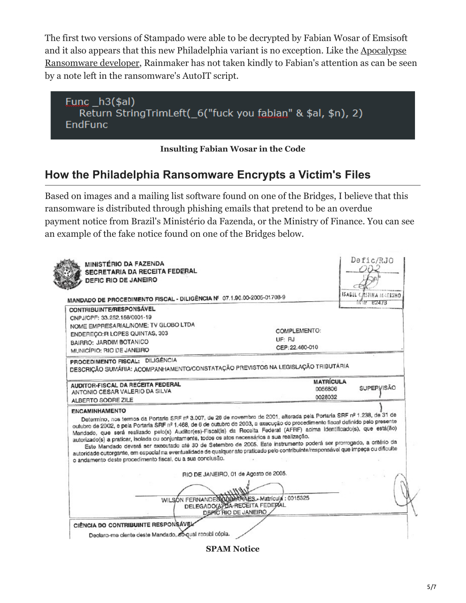The first two versions of Stampado were able to be decrypted by Fabian Wosar of Emsisoft [and it also appears that this new Philadelphia variant is no exception. Like the Apocalypse](https://twitter.com/fwosar/status/770258959345258496) Ransomware developer, Rainmaker has not taken kindly to Fabian's attention as can be seen by a note left in the ransomware's AutoIT script.



#### **Insulting Fabian Wosar in the Code**

## **How the Philadelphia Ransomware Encrypts a Victim's Files**

Based on images and a mailing list software found on one of the Bridges, I believe that this ransomware is distributed through phishing emails that pretend to be an overdue payment notice from Brazil's Ministério da Fazenda, or the Ministry of Finance. You can see an example of the fake notice found on one of the Bridges below.

| DEFIC RIO DE JANEIRO                                                                                                                                                                                                                                       |                                                                                                            |                                               |  |
|------------------------------------------------------------------------------------------------------------------------------------------------------------------------------------------------------------------------------------------------------------|------------------------------------------------------------------------------------------------------------|-----------------------------------------------|--|
| MANDADO DE PROCEDIMENTO FISCAL - DILIGÊNCIA Nº 07.1.90.00-2005-01708-9                                                                                                                                                                                     |                                                                                                            | ISABEL CRSTINA MARKINO<br>$1\sqrt{3}$ $12473$ |  |
| CONTRIBUINTE/RESPONSÁVEL                                                                                                                                                                                                                                   |                                                                                                            |                                               |  |
| CNPJ/CPF: 33.252.156/0001-19                                                                                                                                                                                                                               |                                                                                                            |                                               |  |
| NOME EMPRESARIAL/NOME: TV GLOBO LTDA                                                                                                                                                                                                                       |                                                                                                            |                                               |  |
| ENDEREÇO: R LOPES QUINTAS, 303                                                                                                                                                                                                                             | COMPLEMENTO:                                                                                               |                                               |  |
| BAIRRO: JARDIM BOTANICO                                                                                                                                                                                                                                    | UF: RJ                                                                                                     |                                               |  |
| MUNICÍPIO: RIO DE JANEIRO                                                                                                                                                                                                                                  | CEP: 22.460-010                                                                                            |                                               |  |
| PROCEDIMENTO FISCAL: DILIGÊNCIA                                                                                                                                                                                                                            |                                                                                                            |                                               |  |
| DESCRIÇÃO SUMÁRIA: ACOMPANHAMENTO/CONSTATAÇÃO PREVISTOS NA LEGISLAÇÃO TRIBUTÁRIA                                                                                                                                                                           |                                                                                                            |                                               |  |
|                                                                                                                                                                                                                                                            | <b>MATRÍCULA</b>                                                                                           |                                               |  |
| AUDITOR-FISCAL DA RECEITA FEDERAL                                                                                                                                                                                                                          | 0056806                                                                                                    | <b>SUPERVISÃO</b>                             |  |
| ANTONIO CESAR VALERIO DA SILVA                                                                                                                                                                                                                             | 0028032                                                                                                    |                                               |  |
| ALBERTO SODRE ZILE                                                                                                                                                                                                                                         |                                                                                                            |                                               |  |
| <b>ENCAMINHAMENTO</b><br>Determino, nos termos da Portaria SRF nº 3.007, de 26 de novembro de 2001, alterada pela Portaria SRF nº 1.238, de 31 de                                                                                                          |                                                                                                            |                                               |  |
| outubro de 2002, e pela Portaria SRF nº 1.468, de 6 de outubro de 2003, a execução do procedimento fiscal definido pelo presente                                                                                                                           |                                                                                                            |                                               |  |
| Mandado, que será realizado pelo(s) Auditor(es)-Fiscal(is) da Receita Federal (AFRF) acima identificado(s), que está(ão)                                                                                                                                   |                                                                                                            |                                               |  |
| autorizado(s) a praticar, isolada ou conjuntamente, todos os atos necessários a sua realização.                                                                                                                                                            |                                                                                                            |                                               |  |
| Este Mandado deverá ser executado até 30 de Setembro de 2005. Este instrumento poderá ser prorrogado, a critério da<br>autoridade outorgante, em especial na eventualidade de qualquer ato praticado pelo contribuinte/responsável que impeça ou dificulte |                                                                                                            |                                               |  |
| o andamento deste procedimento fiscal, cu a sua conclusão.                                                                                                                                                                                                 |                                                                                                            |                                               |  |
|                                                                                                                                                                                                                                                            |                                                                                                            |                                               |  |
|                                                                                                                                                                                                                                                            | RIO DE JANEIRO, 01 de Agosto de 2005.                                                                      |                                               |  |
|                                                                                                                                                                                                                                                            |                                                                                                            |                                               |  |
|                                                                                                                                                                                                                                                            |                                                                                                            |                                               |  |
|                                                                                                                                                                                                                                                            |                                                                                                            |                                               |  |
|                                                                                                                                                                                                                                                            |                                                                                                            |                                               |  |
|                                                                                                                                                                                                                                                            | WILSON FERNANDES GUIMARAES - Matricula : 0015325<br>DELEGADO(A) DA RECEITA FEDERAL<br>DEPIC RIO DE JANEIRO |                                               |  |

**SPAM Notice**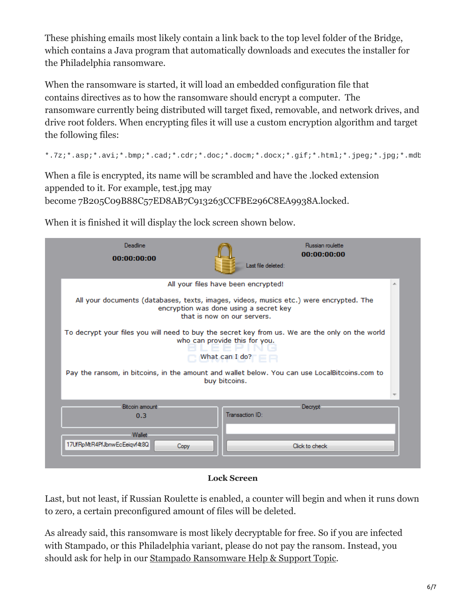These phishing emails most likely contain a link back to the top level folder of the Bridge, which contains a Java program that automatically downloads and executes the installer for the Philadelphia ransomware.

When the ransomware is started, it will load an embedded configuration file that contains directives as to how the ransomware should encrypt a computer. The ransomware currently being distributed will target fixed, removable, and network drives, and drive root folders. When encrypting files it will use a custom encryption algorithm and target the following files:

\*.7z;\*.asp;\*.avi;\*.bmp;\*.cad;\*.cdr;\*.doc;\*.docm;\*.docx;\*.gif;\*.html;\*.jpeg;\*.jpg;\*.mdb

When a file is encrypted, its name will be scrambled and have the .locked extension appended to it. For example, test.jpg may become 7B205C09B88C57ED8AB7C913263CCFBE296C8EA9938A.locked.

| Deadline<br>00:00:00:00                                                                                                                                           |                                     | Russian roulette<br>00:00:00:00<br>Last file deleted:                                         |   |  |  |
|-------------------------------------------------------------------------------------------------------------------------------------------------------------------|-------------------------------------|-----------------------------------------------------------------------------------------------|---|--|--|
|                                                                                                                                                                   | All your files have been encrypted! |                                                                                               | 业 |  |  |
| All your documents (databases, texts, images, videos, musics etc.) were encrypted. The<br>encryption was done using a secret key<br>that is now on our servers.   |                                     |                                                                                               |   |  |  |
| To decrypt your files you will need to buy the secret key from us. We are the only on the world<br>who can provide this for you.<br>What can I do? $\blacksquare$ |                                     |                                                                                               |   |  |  |
|                                                                                                                                                                   | buy bitcoins.                       | Pay the ransom, in bitcoins, in the amount and wallet below. You can use LocalBitcoins.com to |   |  |  |
|                                                                                                                                                                   |                                     |                                                                                               |   |  |  |
| Bitcoin amount<br>0.3                                                                                                                                             | Transaction ID:                     | Decrypt:                                                                                      |   |  |  |
| Wallet<br>17UfRpMtR4PfJbnwEcEeiqvf4t8Q<br>Copy                                                                                                                    |                                     | Click to check                                                                                |   |  |  |

When it is finished it will display the lock screen shown below.

```
Lock Screen
```
Last, but not least, if Russian Roulette is enabled, a counter will begin and when it runs down to zero, a certain preconfigured amount of files will be deleted.

As already said, this ransomware is most likely decryptable for free. So if you are infected with Stampado, or this Philadelphia variant, please do not pay the ransom. Instead, you should ask for help in our [Stampado Ransomware Help & Support Topic.](https://www.bleepingcomputer.com/forums/t/620794/stampado-locked-ransomware-help-support-scvhostexe/)